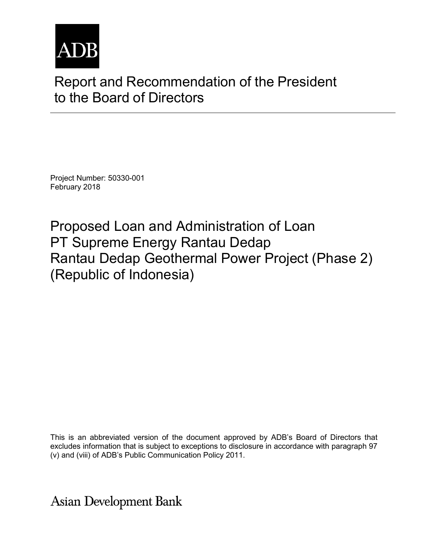

# Report and Recommendation of the President to the Board of Directors

Project Number: 50330-001 February 2018

Proposed Loan and Administration of Loan PT Supreme Energy Rantau Dedap Rantau Dedap Geothermal Power Project (Phase 2) (Republic of Indonesia)

This is an abbreviated version of the document approved by ADB's Board of Directors that excludes information that is subject to exceptions to disclosure in accordance with paragraph 97 (v) and (viii) of ADB's Public Communication Policy 2011.

**Asian Development Bank**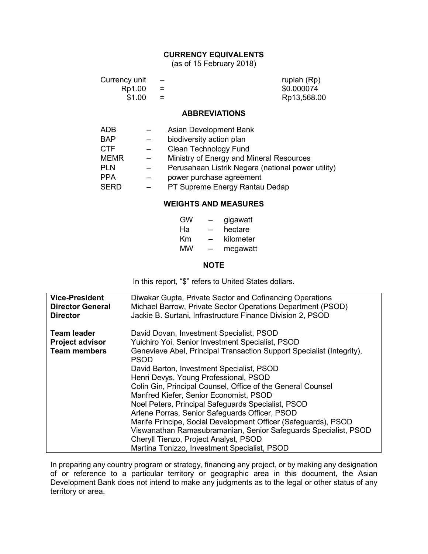#### **CURRENCY EQUIVALENTS**

(as of 15 February 2018)

| Currency unit<br>Rp1.00<br>\$1.00 |  |                        | rupiah (Rp)<br>\$0.000074<br>Rp13,568.00 |
|-----------------------------------|--|------------------------|------------------------------------------|
|                                   |  | <b>ABBREVIATIONS</b>   |                                          |
| <b>ADB</b>                        |  | Asian Development Bank |                                          |

| <b>BAP</b>  | $\sim$                   | biodiversity action plan                           |
|-------------|--------------------------|----------------------------------------------------|
| <b>CTF</b>  | $\overline{\phantom{0}}$ | <b>Clean Technology Fund</b>                       |
|             |                          |                                                    |
| <b>MEMR</b> | $\equiv$                 | Ministry of Energy and Mineral Resources           |
| <b>PLN</b>  |                          | Perusahaan Listrik Negara (national power utility) |
| <b>PPA</b>  |                          | power purchase agreement                           |
| <b>SERD</b> |                          | PT Supreme Energy Rantau Dedap                     |

#### **WEIGHTS AND MEASURES**

| GW |   | gigawatt  |
|----|---|-----------|
| Ha |   | hectare   |
| Κm | - | kilometer |
| МW | - | megawatt  |

#### **NOTE**

In this report, "\$" refers to United States dollars.

| <b>Vice-President</b>                                               | Diwakar Gupta, Private Sector and Cofinancing Operations                                                                                                                                                                                                                                                                                                                                                                                                                                                                                                                                                                                                                                                                  |  |  |
|---------------------------------------------------------------------|---------------------------------------------------------------------------------------------------------------------------------------------------------------------------------------------------------------------------------------------------------------------------------------------------------------------------------------------------------------------------------------------------------------------------------------------------------------------------------------------------------------------------------------------------------------------------------------------------------------------------------------------------------------------------------------------------------------------------|--|--|
| <b>Director General</b>                                             | Michael Barrow, Private Sector Operations Department (PSOD)                                                                                                                                                                                                                                                                                                                                                                                                                                                                                                                                                                                                                                                               |  |  |
| <b>Director</b>                                                     | Jackie B. Surtani, Infrastructure Finance Division 2, PSOD                                                                                                                                                                                                                                                                                                                                                                                                                                                                                                                                                                                                                                                                |  |  |
| <b>Team leader</b><br><b>Project advisor</b><br><b>Team members</b> | David Dovan, Investment Specialist, PSOD<br>Yuichiro Yoi, Senior Investment Specialist, PSOD<br>Genevieve Abel, Principal Transaction Support Specialist (Integrity),<br><b>PSOD</b><br>David Barton, Investment Specialist, PSOD<br>Henri Devys, Young Professional, PSOD<br>Colin Gin, Principal Counsel, Office of the General Counsel<br>Manfred Kiefer, Senior Economist, PSOD<br>Noel Peters, Principal Safeguards Specialist, PSOD<br>Arlene Porras, Senior Safeguards Officer, PSOD<br>Marife Principe, Social Development Officer (Safeguards), PSOD<br>Viswanathan Ramasubramanian, Senior Safeguards Specialist, PSOD<br>Cheryll Tienzo, Project Analyst, PSOD<br>Martina Tonizzo, Investment Specialist, PSOD |  |  |

In preparing any country program or strategy, financing any project, or by making any designation of or reference to a particular territory or geographic area in this document, the Asian Development Bank does not intend to make any judgments as to the legal or other status of any territory or area.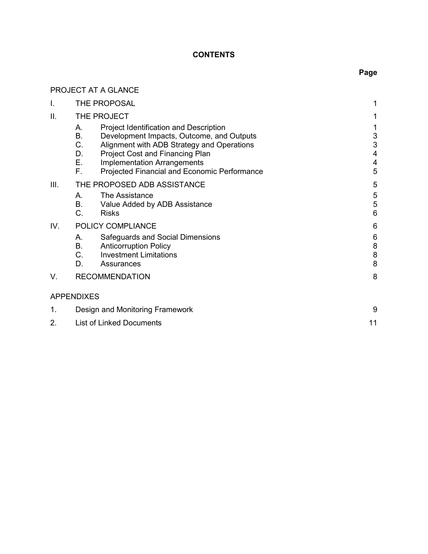## **CONTENTS**

# PROJECT AT A GLANCE

| I.   | <b>THE PROPOSAL</b>                                                                                                                                                                                                                                                                     |                                                                            |
|------|-----------------------------------------------------------------------------------------------------------------------------------------------------------------------------------------------------------------------------------------------------------------------------------------|----------------------------------------------------------------------------|
| ΙΙ.  | THE PROJECT                                                                                                                                                                                                                                                                             |                                                                            |
|      | Project Identification and Description<br>Α.<br>В.<br>Development Impacts, Outcome, and Outputs<br>C.<br>Alignment with ADB Strategy and Operations<br>Project Cost and Financing Plan<br>D.<br>Ε.<br>Implementation Arrangements<br>F.<br>Projected Financial and Economic Performance | $\sqrt{3}$<br>$\sqrt{3}$<br>$\overline{4}$<br>$\overline{\mathbf{4}}$<br>5 |
| III. | THE PROPOSED ADB ASSISTANCE                                                                                                                                                                                                                                                             | 5                                                                          |
|      | The Assistance<br>А.<br>В.<br>Value Added by ADB Assistance<br>C.<br><b>Risks</b>                                                                                                                                                                                                       | 5<br>$\sqrt{5}$<br>$6\phantom{1}6$                                         |
| IV.  | POLICY COMPLIANCE                                                                                                                                                                                                                                                                       | 6                                                                          |
|      | Safeguards and Social Dimensions<br>Α.<br>В.<br><b>Anticorruption Policy</b><br>C.<br><b>Investment Limitations</b><br>D.<br>Assurances                                                                                                                                                 | $6\phantom{1}6$<br>$\bf 8$<br>$\bf 8$<br>8                                 |
| V.   | <b>RECOMMENDATION</b>                                                                                                                                                                                                                                                                   | 8                                                                          |
|      | <b>APPENDIXES</b>                                                                                                                                                                                                                                                                       |                                                                            |
| 1.   | Design and Monitoring Framework                                                                                                                                                                                                                                                         |                                                                            |
| 2.   | <b>List of Linked Documents</b>                                                                                                                                                                                                                                                         | 11                                                                         |

# **Page**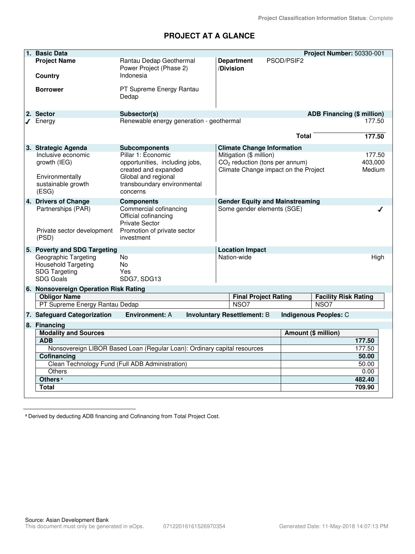# **PROJECT AT A GLANCE**

| 1. Basic Data                                      |                                                                          |                                    |                                                                          | Project Number: 50330-001         |
|----------------------------------------------------|--------------------------------------------------------------------------|------------------------------------|--------------------------------------------------------------------------|-----------------------------------|
| <b>Project Name</b>                                | Rantau Dedap Geothermal<br>Power Project (Phase 2)                       | <b>Department</b><br>/Division     | PSOD/PSIF2                                                               |                                   |
| Country                                            | Indonesia                                                                |                                    |                                                                          |                                   |
| <b>Borrower</b>                                    | PT Supreme Energy Rantau<br>Dedap                                        |                                    |                                                                          |                                   |
| 2. Sector                                          | Subsector(s)                                                             |                                    |                                                                          | <b>ADB Financing (\$ million)</b> |
| $\sqrt{\phantom{a}}$ Energy                        | Renewable energy generation - geothermal                                 |                                    |                                                                          | 177.50                            |
|                                                    |                                                                          |                                    | <b>Total</b>                                                             | 177.50                            |
| 3. Strategic Agenda                                | <b>Subcomponents</b>                                                     |                                    | <b>Climate Change Information</b>                                        |                                   |
| Inclusive economic                                 | Pillar 1: Economic                                                       | Mitigation (\$ million)            |                                                                          | 177.50                            |
| growth (IEG)                                       | opportunities, including jobs,<br>created and expanded                   |                                    | $CO2$ reduction (tons per annum)<br>Climate Change impact on the Project | 403,000<br>Medium                 |
| Environmentally                                    | Global and regional                                                      |                                    |                                                                          |                                   |
| sustainable growth                                 | transboundary environmental                                              |                                    |                                                                          |                                   |
| (ESG)                                              | concerns                                                                 |                                    |                                                                          |                                   |
| 4. Drivers of Change                               | <b>Components</b>                                                        |                                    | <b>Gender Equity and Mainstreaming</b>                                   |                                   |
| Partnerships (PAR)                                 | Commercial cofinancing<br>Official cofinancing                           |                                    | Some gender elements (SGE)                                               |                                   |
|                                                    | <b>Private Sector</b>                                                    |                                    |                                                                          |                                   |
| Private sector development<br>(PSD)                | Promotion of private sector<br>investment                                |                                    |                                                                          |                                   |
|                                                    |                                                                          |                                    |                                                                          |                                   |
| 5. Poverty and SDG Targeting                       |                                                                          | <b>Location Impact</b>             |                                                                          |                                   |
| Geographic Targeting<br><b>Household Targeting</b> | No<br>No.                                                                | Nation-wide                        |                                                                          | High                              |
| <b>SDG Targeting</b>                               | Yes                                                                      |                                    |                                                                          |                                   |
| <b>SDG Goals</b>                                   | SDG7, SDG13                                                              |                                    |                                                                          |                                   |
| 6. Nonsovereign Operation Risk Rating              |                                                                          |                                    |                                                                          |                                   |
| <b>Obligor Name</b>                                |                                                                          |                                    | <b>Final Project Rating</b>                                              | <b>Facility Risk Rating</b>       |
| PT Supreme Energy Rantau Dedap                     |                                                                          | NSO7                               |                                                                          | NSO <sub>7</sub>                  |
| 7. Safeguard Categorization                        | <b>Environment: A</b>                                                    | <b>Involuntary Resettlement: B</b> |                                                                          | Indigenous Peoples: C             |
| 8. Financing                                       |                                                                          |                                    |                                                                          |                                   |
| <b>Modality and Sources</b>                        |                                                                          |                                    |                                                                          | Amount (\$ million)               |
| <b>ADB</b>                                         |                                                                          |                                    |                                                                          | 177.50                            |
|                                                    | Nonsovereign LIBOR Based Loan (Regular Loan): Ordinary capital resources |                                    |                                                                          | 177.50                            |
| Cofinancing                                        |                                                                          |                                    |                                                                          | 50.00                             |
| <b>Others</b>                                      | Clean Technology Fund (Full ADB Administration)                          |                                    |                                                                          | 50.00<br>0.00                     |
| Others <sup>a</sup>                                |                                                                          |                                    |                                                                          | 482.40                            |
| <b>Total</b>                                       |                                                                          |                                    |                                                                          | 709.90                            |
|                                                    |                                                                          |                                    |                                                                          |                                   |

<sup>a</sup> Derived by deducting ADB financing and Cofinancing from Total Project Cost.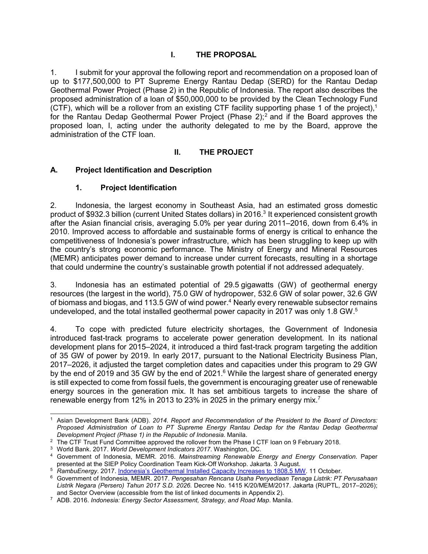## **I. THE PROPOSAL**

1. I submit for your approval the following report and recommendation on a proposed loan of up to \$177,500,000 to PT Supreme Energy Rantau Dedap (SERD) for the Rantau Dedap Geothermal Power Project (Phase 2) in the Republic of Indonesia. The report also describes the proposed administration of a loan of \$50,000,000 to be provided by the Clean Technology Fund (CTF), which will be a rollover from an existing CTF facility supporting phase 1 of the project),<sup>1</sup> for the Rantau Dedap Geothermal Power Project (Phase 2);<sup>2</sup> and if the Board approves the proposed loan, I, acting under the authority delegated to me by the Board, approve the administration of the CTF loan.

## **II. THE PROJECT**

#### **A. Project Identification and Description**

#### **1. Project Identification**

2. Indonesia, the largest economy in Southeast Asia, had an estimated gross domestic product of \$932.3 billion (current United States dollars) in 2016.<sup>3</sup> It experienced consistent growth after the Asian financial crisis, averaging 5.0% per year during 2011–2016, down from 6.4% in 2010. Improved access to affordable and sustainable forms of energy is critical to enhance the competitiveness of Indonesia's power infrastructure, which has been struggling to keep up with the country's strong economic performance. The Ministry of Energy and Mineral Resources (MEMR) anticipates power demand to increase under current forecasts, resulting in a shortage that could undermine the country's sustainable growth potential if not addressed adequately.

3. Indonesia has an estimated potential of 29.5 gigawatts (GW) of geothermal energy resources (the largest in the world), 75.0 GW of hydropower, 532.6 GW of solar power, 32.6 GW of biomass and biogas, and 113.5 GW of wind power.<sup>4</sup> Nearly every renewable subsector remains undeveloped, and the total installed geothermal power capacity in 2017 was only 1.8 GW.<sup>5</sup>

4. To cope with predicted future electricity shortages, the Government of Indonesia introduced fast-track programs to accelerate power generation development. In its national development plans for 2015–2024, it introduced a third fast-track program targeting the addition of 35 GW of power by 2019. In early 2017, pursuant to the National Electricity Business Plan, 2017–2026, it adjusted the target completion dates and capacities under this program to 29 GW by the end of 2019 and 35 GW by the end of 2021. $6$  While the largest share of generated energy is still expected to come from fossil fuels, the government is encouraging greater use of renewable energy sources in the generation mix. It has set ambitious targets to increase the share of renewable energy from 12% in 2013 to 23% in 2025 in the primary energy mix.<sup>7</sup>

 1 Asian Development Bank (ADB). *2014. Report and Recommendation of the President to the Board of Directors: Proposed Administration of Loan to PT Supreme Energy Rantau Dedap for the Rantau Dedap Geothermal Development Project (Phase 1) in the Republic of Indonesia*. Manila.

<sup>&</sup>lt;sup>2</sup> The CTF Trust Fund Committee approved the rollover from the Phase I CTF loan on 9 February 2018.

<sup>3</sup> World Bank. 2017. *World Development Indicators 2017*. Washington, DC.

<sup>4</sup> Government of Indonesia, MEMR. 2016. *Mainstreaming Renewable Energy and Energy Conservation*. Paper presented at the SIEP Policy Coordination Team Kick-Off Workshop. Jakarta. 3 August.

<sup>5</sup> *RambuEnergy*. 2017. Indonesia's Geothermal Installed Capacity Increases to 1808.5 MW. 11 October.

<sup>6</sup> Government of Indonesia, MEMR. 2017. *Pengesahan Rencana Usaha Penyediaan Tenaga Listrik: PT Perusahaan Listrik Negara (Persero) Tahun 2017 S.D. 2026.* Decree No. 1415 K/20/MEM/2017. Jakarta (RUPTL, 2017–2026); and Sector Overview (accessible from the list of linked documents in Appendix 2).

<sup>7</sup> ADB. 2016. *Indonesia: Energy Sector Assessment, Strategy, and Road Map*. Manila.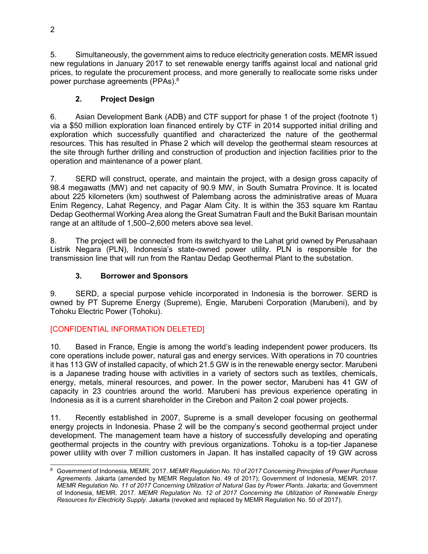5. Simultaneously, the government aims to reduce electricity generation costs. MEMR issued new regulations in January 2017 to set renewable energy tariffs against local and national grid prices, to regulate the procurement process, and more generally to reallocate some risks under power purchase agreements (PPAs).<sup>8</sup>

# **2. Project Design**

6. Asian Development Bank (ADB) and CTF support for phase 1 of the project (footnote 1) via a \$50 million exploration loan financed entirely by CTF in 2014 supported initial drilling and exploration which successfully quantified and characterized the nature of the geothermal resources. This has resulted in Phase 2 which will develop the geothermal steam resources at the site through further drilling and construction of production and injection facilities prior to the operation and maintenance of a power plant.

7. SERD will construct, operate, and maintain the project, with a design gross capacity of 98.4 megawatts (MW) and net capacity of 90.9 MW, in South Sumatra Province. It is located about 225 kilometers (km) southwest of Palembang across the administrative areas of Muara Enim Regency, Lahat Regency, and Pagar Alam City. It is within the 353 square km Rantau Dedap Geothermal Working Area along the Great Sumatran Fault and the Bukit Barisan mountain range at an altitude of 1,500–2,600 meters above sea level.

8. The project will be connected from its switchyard to the Lahat grid owned by Perusahaan Listrik Negara (PLN), Indonesia's state-owned power utility. PLN is responsible for the transmission line that will run from the Rantau Dedap Geothermal Plant to the substation.

## **3. Borrower and Sponsors**

9. SERD, a special purpose vehicle incorporated in Indonesia is the borrower. SERD is owned by PT Supreme Energy (Supreme), Engie, Marubeni Corporation (Marubeni), and by Tohoku Electric Power (Tohoku).

# [CONFIDENTIAL INFORMATION DELETED]

10. Based in France, Engie is among the world's leading independent power producers. Its core operations include power, natural gas and energy services. With operations in 70 countries it has 113 GW of installed capacity, of which 21.5 GW is in the renewable energy sector. Marubeni is a Japanese trading house with activities in a variety of sectors such as textiles, chemicals, energy, metals, mineral resources, and power. In the power sector, Marubeni has 41 GW of capacity in 23 countries around the world. Marubeni has previous experience operating in Indonesia as it is a current shareholder in the Cirebon and Paiton 2 coal power projects.

11. Recently established in 2007, Supreme is a small developer focusing on geothermal energy projects in Indonesia. Phase 2 will be the company's second geothermal project under development. The management team have a history of successfully developing and operating geothermal projects in the country with previous organizations. Tohoku is a top-tier Japanese power utility with over 7 million customers in Japan. It has installed capacity of 19 GW across

 $\overline{a}$ 8 Government of Indonesia, MEMR. 2017. *MEMR Regulation No. 10 of 2017 Concerning Principles of Power Purchase Agreements*. Jakarta (amended by MEMR Regulation No. 49 of 2017); Government of Indonesia, MEMR. 2017. *MEMR Regulation No. 11 of 2017 Concerning Utilization of Natural Gas by Power Plants*. Jakarta; and Government of Indonesia, MEMR. 2017. *MEMR Regulation No. 12 of 2017 Concerning the Utilization of Renewable Energy Resources for Electricity Supply*. Jakarta (revoked and replaced by MEMR Regulation No. 50 of 2017).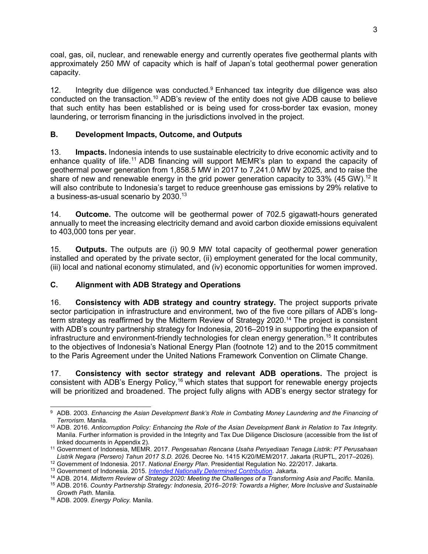coal, gas, oil, nuclear, and renewable energy and currently operates five geothermal plants with approximately 250 MW of capacity which is half of Japan's total geothermal power generation capacity.

12. Integrity due diligence was conducted.<sup>9</sup> Enhanced tax integrity due diligence was also conducted on the transaction.<sup>10</sup> ADB's review of the entity does not give ADB cause to believe that such entity has been established or is being used for cross-border tax evasion, money laundering, or terrorism financing in the jurisdictions involved in the project.

## **B. Development Impacts, Outcome, and Outputs**

13. **Impacts.** Indonesia intends to use sustainable electricity to drive economic activity and to enhance quality of life.<sup>11</sup> ADB financing will support MEMR's plan to expand the capacity of geothermal power generation from 1,858.5 MW in 2017 to 7,241.0 MW by 2025, and to raise the share of new and renewable energy in the grid power generation capacity to 33% (45 GW).<sup>12</sup> It will also contribute to Indonesia's target to reduce greenhouse gas emissions by 29% relative to a business-as-usual scenario by 2030.<sup>13</sup>

14. **Outcome.** The outcome will be geothermal power of 702.5 gigawatt-hours generated annually to meet the increasing electricity demand and avoid carbon dioxide emissions equivalent to 403,000 tons per year.

15. **Outputs.** The outputs are (i) 90.9 MW total capacity of geothermal power generation installed and operated by the private sector, (ii) employment generated for the local community, (iii) local and national economy stimulated, and (iv) economic opportunities for women improved.

## **C. Alignment with ADB Strategy and Operations**

16. **Consistency with ADB strategy and country strategy.** The project supports private sector participation in infrastructure and environment, two of the five core pillars of ADB's longterm strategy as reaffirmed by the Midterm Review of Strategy 2020.<sup>14</sup> The project is consistent with ADB's country partnership strategy for Indonesia, 2016–2019 in supporting the expansion of infrastructure and environment-friendly technologies for clean energy generation.<sup>15</sup> It contributes to the objectives of Indonesia's National Energy Plan (footnote 12) and to the 2015 commitment to the Paris Agreement under the United Nations Framework Convention on Climate Change.

17. **Consistency with sector strategy and relevant ADB operations.** The project is consistent with ADB's Energy Policy,<sup>16</sup> which states that support for renewable energy projects will be prioritized and broadened. The project fully aligns with ADB's energy sector strategy for

 9 ADB. 2003. *Enhancing the Asian Development Bank's Role in Combating Money Laundering and the Financing of Terrorism*. Manila.

<sup>10</sup> ADB. 2016. *Anticorruption Policy: Enhancing the Role of the Asian Development Bank in Relation to Tax Integrity*. Manila. Further information is provided in the Integrity and Tax Due Diligence Disclosure (accessible from the list of linked documents in Appendix 2).

<sup>11</sup> Government of Indonesia, MEMR. 2017. *Pengesahan Rencana Usaha Penyediaan Tenaga Listrik: PT Perusahaan Listrik Negara (Persero) Tahun 2017 S.D. 2026.* Decree No. 1415 K/20/MEM/2017. Jakarta (RUPTL, 2017–2026).

<sup>12</sup> Government of Indonesia. 2017. *National Energy Plan*. Presidential Regulation No. 22/2017. Jakarta.

<sup>13</sup> Government of Indonesia. 2015. *Intended Nationally Determined Contribution*. Jakarta.

<sup>14</sup> ADB. 2014. *Midterm Review of Strategy 2020: Meeting the Challenges of a Transforming Asia and Pacific.* Manila.

<sup>15</sup> ADB. 2016. *Country Partnership Strategy: Indonesia, 2016–2019: Towards a Higher, More Inclusive and Sustainable Growth Path.* Manila.

<sup>16</sup> ADB. 2009. *Energy Policy.* Manila.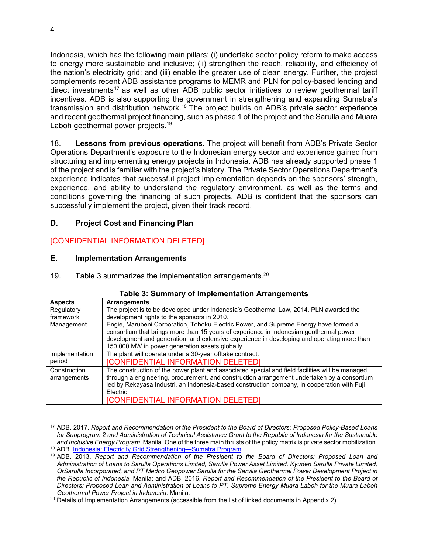Indonesia, which has the following main pillars: (i) undertake sector policy reform to make access to energy more sustainable and inclusive; (ii) strengthen the reach, reliability, and efficiency of the nation's electricity grid; and (iii) enable the greater use of clean energy. Further, the project complements recent ADB assistance programs to MEMR and PLN for policy-based lending and direct investments<sup>17</sup> as well as other ADB public sector initiatives to review geothermal tariff incentives. ADB is also supporting the government in strengthening and expanding Sumatra's transmission and distribution network.<sup>18</sup> The project builds on ADB's private sector experience and recent geothermal project financing, such as phase 1 of the project and the Sarulla and Muara Laboh geothermal power projects.<sup>19</sup>

18. **Lessons from previous operations**. The project will benefit from ADB's Private Sector Operations Department's exposure to the Indonesian energy sector and experience gained from structuring and implementing energy projects in Indonesia. ADB has already supported phase 1 of the project and is familiar with the project's history. The Private Sector Operations Department's experience indicates that successful project implementation depends on the sponsors' strength, experience, and ability to understand the regulatory environment, as well as the terms and conditions governing the financing of such projects. ADB is confident that the sponsors can successfully implement the project, given their track record.

## **D. Project Cost and Financing Plan**

## [CONFIDENTIAL INFORMATION DELETED]

#### **E. Implementation Arrangements**

19. Table 3 summarizes the implementation arrangements. $20$ 

| <b>Aspects</b>                                      | <b>Arrangements</b>                                                                                                                                                                                                                                                                                                                                     |  |  |
|-----------------------------------------------------|---------------------------------------------------------------------------------------------------------------------------------------------------------------------------------------------------------------------------------------------------------------------------------------------------------------------------------------------------------|--|--|
| Regulatory                                          | The project is to be developed under Indonesia's Geothermal Law, 2014. PLN awarded the                                                                                                                                                                                                                                                                  |  |  |
| framework                                           | development rights to the sponsors in 2010.                                                                                                                                                                                                                                                                                                             |  |  |
| Management                                          | Engie, Marubeni Corporation, Tohoku Electric Power, and Supreme Energy have formed a<br>consortium that brings more than 15 years of experience in Indonesian geothermal power<br>development and generation, and extensive experience in developing and operating more than<br>150,000 MW in power generation assets globally.                         |  |  |
| Implementation                                      | The plant will operate under a 30-year offtake contract.                                                                                                                                                                                                                                                                                                |  |  |
| <b>[CONFIDENTIAL INFORMATION DELETED]</b><br>period |                                                                                                                                                                                                                                                                                                                                                         |  |  |
| Construction<br>arrangements                        | The construction of the power plant and associated special and field facilities will be managed<br>through a engineering, procurement, and construction arrangement undertaken by a consortium<br>led by Rekayasa Industri, an Indonesia-based construction company, in cooperation with Fuji<br>Electric.<br><b>[CONFIDENTIAL INFORMATION DELETED]</b> |  |  |

#### **Table 3: Summary of Implementation Arrangements**

 $\overline{a}$ <sup>17</sup> ADB. 2017. *Report and Recommendation of the President to the Board of Directors: Proposed Policy-Based Loans for Subprogram 2 and Administration of Technical Assistance Grant to the Republic of Indonesia for the Sustainable and Inclusive Energy Program.* Manila. One of the three main thrusts of the policy matrix is private sector mobilization. <sup>18</sup> ADB. Indonesia: Electricity Grid Strengthening—Sumatra Program.

<sup>19</sup> ADB. 2013. *Report and Recommendation of the President to the Board of Directors: Proposed Loan and Administration of Loans to Sarulla Operations Limited, Sarulla Power Asset Limited, Kyuden Sarulla Private Limited, OrSarulla Incorporated, and PT Medco Geopower Sarulla for the Sarulla Geothermal Power Development Project in the Republic of Indonesia*. Manila; and ADB. 2016. *Report and Recommendation of the President to the Board of Directors: Proposed Loan and Administration of Loans to PT. Supreme Energy Muara Laboh for the Muara Laboh Geothermal Power Project in Indonesia*. Manila.

<sup>&</sup>lt;sup>20</sup> Details of Implementation Arrangements (accessible from the list of linked documents in Appendix 2).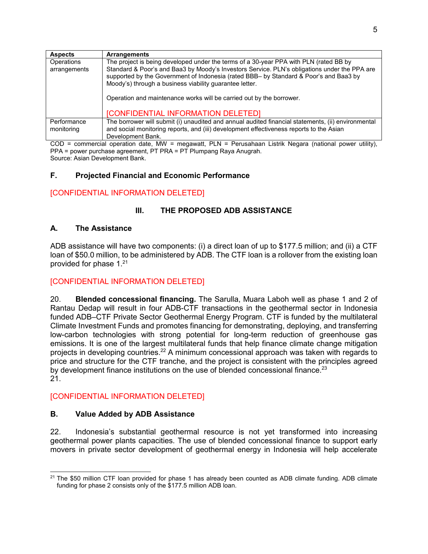| <b>Aspects</b>             | <b>Arrangements</b>                                                                                                                                                                                                                                                                                                                                                                                               |
|----------------------------|-------------------------------------------------------------------------------------------------------------------------------------------------------------------------------------------------------------------------------------------------------------------------------------------------------------------------------------------------------------------------------------------------------------------|
| Operations<br>arrangements | The project is being developed under the terms of a 30-year PPA with PLN (rated BB by<br>Standard & Poor's and Baa3 by Moody's Investors Service. PLN's obligations under the PPA are<br>supported by the Government of Indonesia (rated BBB- by Standard & Poor's and Baa3 by<br>Moody's) through a business viability guarantee letter.<br>Operation and maintenance works will be carried out by the borrower. |
|                            | <b>[CONFIDENTIAL INFORMATION DELETED]</b>                                                                                                                                                                                                                                                                                                                                                                         |
| Performance<br>monitoring  | The borrower will submit (i) unaudited and annual audited financial statements, (ii) environmental<br>and social monitoring reports, and (iii) development effectiveness reports to the Asian<br>Development Bank.                                                                                                                                                                                                |

COD = commercial operation date, MW = megawatt, PLN = Perusahaan Listrik Negara (national power utility), PPA = power purchase agreement, PT PRA = PT Plumpang Raya Anugrah. Source: Asian Development Bank.

## **F. Projected Financial and Economic Performance**

#### [CONFIDENTIAL INFORMATION DELETED]

#### **III. THE PROPOSED ADB ASSISTANCE**

#### **A. The Assistance**

ADB assistance will have two components: (i) a direct loan of up to \$177.5 million; and (ii) a CTF loan of \$50.0 million, to be administered by ADB. The CTF loan is a rollover from the existing loan provided for phase  $1.^{21}$ 

#### [CONFIDENTIAL INFORMATION DELETED]

20. **Blended concessional financing.** The Sarulla, Muara Laboh well as phase 1 and 2 of Rantau Dedap will result in four ADB-CTF transactions in the geothermal sector in Indonesia funded ADB–CTF Private Sector Geothermal Energy Program. CTF is funded by the multilateral Climate Investment Funds and promotes financing for demonstrating, deploying, and transferring low-carbon technologies with strong potential for long-term reduction of greenhouse gas emissions. It is one of the largest multilateral funds that help finance climate change mitigation projects in developing countries.<sup>22</sup> A minimum concessional approach was taken with regards to price and structure for the CTF tranche, and the project is consistent with the principles agreed by development finance institutions on the use of blended concessional finance. $^{23}$ 21.

#### [CONFIDENTIAL INFORMATION DELETED]

#### **B. Value Added by ADB Assistance**

22. Indonesia's substantial geothermal resource is not yet transformed into increasing geothermal power plants capacities. The use of blended concessional finance to support early movers in private sector development of geothermal energy in Indonesia will help accelerate

 $\overline{a}$  $21$  The \$50 million CTF loan provided for phase 1 has already been counted as ADB climate funding. ADB climate funding for phase 2 consists only of the \$177.5 million ADB loan.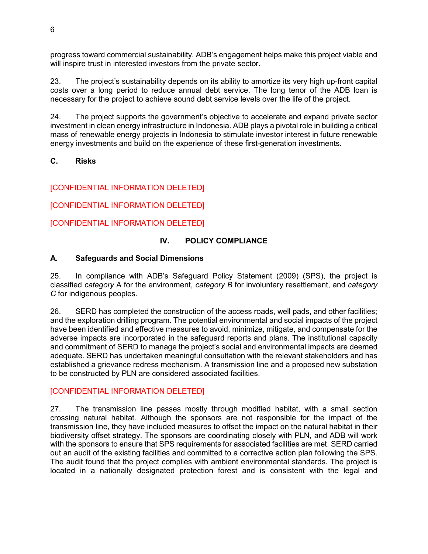progress toward commercial sustainability. ADB's engagement helps make this project viable and will inspire trust in interested investors from the private sector.

23. The project's sustainability depends on its ability to amortize its very high up-front capital costs over a long period to reduce annual debt service. The long tenor of the ADB loan is necessary for the project to achieve sound debt service levels over the life of the project.

24. The project supports the government's objective to accelerate and expand private sector investment in clean energy infrastructure in Indonesia. ADB plays a pivotal role in building a critical mass of renewable energy projects in Indonesia to stimulate investor interest in future renewable energy investments and build on the experience of these first-generation investments.

## **C. Risks**

## [CONFIDENTIAL INFORMATION DELETED]

[CONFIDENTIAL INFORMATION DELETED]

[CONFIDENTIAL INFORMATION DELETED]

## **IV. POLICY COMPLIANCE**

#### **A. Safeguards and Social Dimensions**

25. In compliance with ADB's Safeguard Policy Statement (2009) (SPS), the project is classified *category* A for the environment, *category B* for involuntary resettlement, and *category C* for indigenous peoples.

26. SERD has completed the construction of the access roads, well pads, and other facilities; and the exploration drilling program. The potential environmental and social impacts of the project have been identified and effective measures to avoid, minimize, mitigate, and compensate for the adverse impacts are incorporated in the safeguard reports and plans. The institutional capacity and commitment of SERD to manage the project's social and environmental impacts are deemed adequate. SERD has undertaken meaningful consultation with the relevant stakeholders and has established a grievance redress mechanism. A transmission line and a proposed new substation to be constructed by PLN are considered associated facilities.

#### [CONFIDENTIAL INFORMATION DELETED]

27. The transmission line passes mostly through modified habitat, with a small section crossing natural habitat. Although the sponsors are not responsible for the impact of the transmission line, they have included measures to offset the impact on the natural habitat in their biodiversity offset strategy. The sponsors are coordinating closely with PLN, and ADB will work with the sponsors to ensure that SPS requirements for associated facilities are met. SERD carried out an audit of the existing facilities and committed to a corrective action plan following the SPS. The audit found that the project complies with ambient environmental standards. The project is located in a nationally designated protection forest and is consistent with the legal and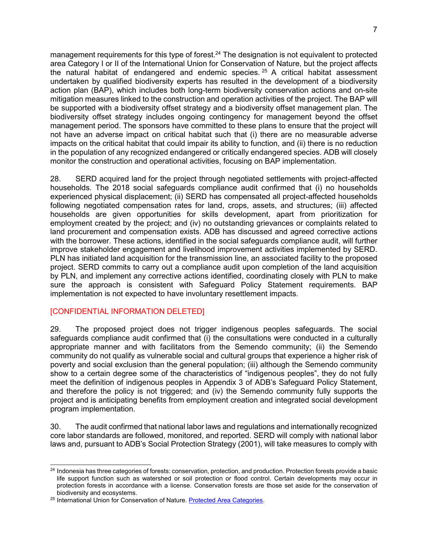management requirements for this type of forest.<sup>24</sup> The designation is not equivalent to protected area Category I or II of the International Union for Conservation of Nature, but the project affects the natural habitat of endangered and endemic species.  $25$  A critical habitat assessment undertaken by qualified biodiversity experts has resulted in the development of a biodiversity action plan (BAP), which includes both long-term biodiversity conservation actions and on-site mitigation measures linked to the construction and operation activities of the project. The BAP will be supported with a biodiversity offset strategy and a biodiversity offset management plan. The biodiversity offset strategy includes ongoing contingency for management beyond the offset management period. The sponsors have committed to these plans to ensure that the project will not have an adverse impact on critical habitat such that (i) there are no measurable adverse impacts on the critical habitat that could impair its ability to function, and (ii) there is no reduction in the population of any recognized endangered or critically endangered species. ADB will closely monitor the construction and operational activities, focusing on BAP implementation.

28. SERD acquired land for the project through negotiated settlements with project-affected households. The 2018 social safeguards compliance audit confirmed that (i) no households experienced physical displacement; (ii) SERD has compensated all project-affected households following negotiated compensation rates for land, crops, assets, and structures; (iii) affected households are given opportunities for skills development, apart from prioritization for employment created by the project; and (iv) no outstanding grievances or complaints related to land procurement and compensation exists. ADB has discussed and agreed corrective actions with the borrower. These actions, identified in the social safeguards compliance audit, will further improve stakeholder engagement and livelihood improvement activities implemented by SERD. PLN has initiated land acquisition for the transmission line, an associated facility to the proposed project. SERD commits to carry out a compliance audit upon completion of the land acquisition by PLN, and implement any corrective actions identified, coordinating closely with PLN to make sure the approach is consistent with Safeguard Policy Statement requirements. BAP implementation is not expected to have involuntary resettlement impacts.

#### [CONFIDENTIAL INFORMATION DELETED]

29. The proposed project does not trigger indigenous peoples safeguards. The social safeguards compliance audit confirmed that (i) the consultations were conducted in a culturally appropriate manner and with facilitators from the Semendo community; (ii) the Semendo community do not qualify as vulnerable social and cultural groups that experience a higher risk of poverty and social exclusion than the general population; (iii) although the Semendo community show to a certain degree some of the characteristics of "indigenous peoples", they do not fully meet the definition of indigenous peoples in Appendix 3 of ADB's Safeguard Policy Statement, and therefore the policy is not triggered; and (iv) the Semendo community fully supports the project and is anticipating benefits from employment creation and integrated social development program implementation.

30. The audit confirmed that national labor laws and regulations and internationally recognized core labor standards are followed, monitored, and reported. SERD will comply with national labor laws and, pursuant to ADB's Social Protection Strategy (2001), will take measures to comply with

 $\overline{a}$ <sup>24</sup> Indonesia has three categories of forests: conservation, protection, and production. Protection forests provide a basic life support function such as watershed or soil protection or flood control. Certain developments may occur in protection forests in accordance with a license. Conservation forests are those set aside for the conservation of biodiversity and ecosystems.

<sup>&</sup>lt;sup>25</sup> International Union for Conservation of Nature. Protected Area Categories.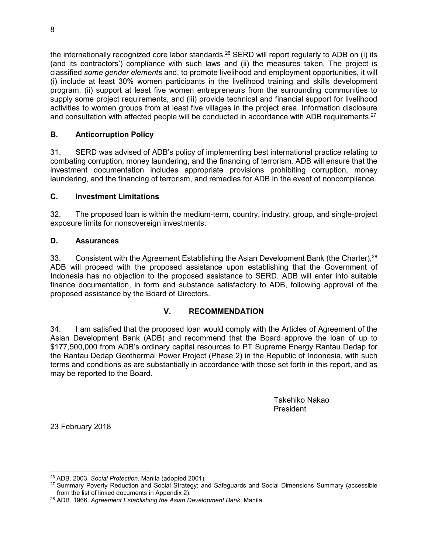the internationally recognized core labor standards.<sup>26</sup> SERD will report regularly to ADB on (i) its (and its contractors') compliance with such laws and (ii) the measures taken. The project is classified *some gender elements* and, to promote livelihood and employment opportunities, it will (i) include at least 30% women participants in the livelihood training and skills development program, (ii) support at least five women entrepreneurs from the surrounding communities to supply some project requirements, and (iii) provide technical and financial support for livelihood activities to women groups from at least five villages in the project area. Information disclosure and consultation with affected people will be conducted in accordance with ADB requirements.<sup>27</sup>

## **B. Anticorruption Policy**

31. SERD was advised of ADB's policy of implementing best international practice relating to combating corruption, money laundering, and the financing of terrorism. ADB will ensure that the investment documentation includes appropriate provisions prohibiting corruption, money laundering, and the financing of terrorism, and remedies for ADB in the event of noncompliance.

#### **C. Investment Limitations**

32. The proposed loan is within the medium-term, country, industry, group, and single-project exposure limits for nonsovereign investments.

#### **D. Assurances**

33. Consistent with the Agreement Establishing the Asian Development Bank (the Charter), <sup>28</sup> ADB will proceed with the proposed assistance upon establishing that the Government of Indonesia has no objection to the proposed assistance to SERD. ADB will enter into suitable finance documentation, in form and substance satisfactory to ADB, following approval of the proposed assistance by the Board of Directors.

## **V. RECOMMENDATION**

34. I am satisfied that the proposed loan would comply with the Articles of Agreement of the Asian Development Bank (ADB) and recommend that the Board approve the loan of up to \$177,500,000 from ADB's ordinary capital resources to PT Supreme Energy Rantau Dedap for the Rantau Dedap Geothermal Power Project (Phase 2) in the Republic of Indonesia, with such terms and conditions as are substantially in accordance with those set forth in this report, and as may be reported to the Board.

> Takehiko Nakao President

23 February 2018

 $\overline{a}$ <sup>26</sup> ADB. 2003. *Social Protection*. Manila (adopted 2001).

<sup>&</sup>lt;sup>27</sup> Summary Poverty Reduction and Social Strategy; and Safeguards and Social Dimensions Summary (accessible from the list of linked documents in Appendix 2).

<sup>28</sup> ADB. 1966. *Agreement Establishing the Asian Development Bank.* Manila.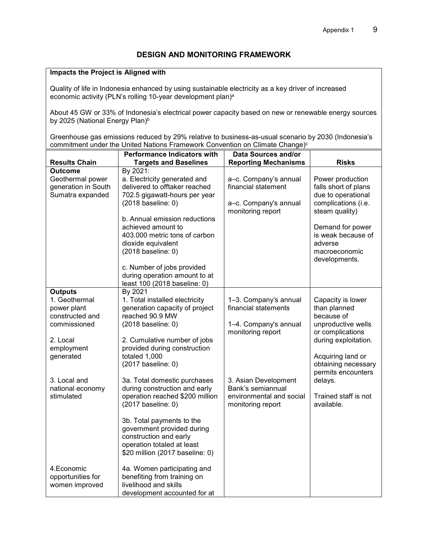#### **Impacts the Project is Aligned with**

Quality of life in Indonesia enhanced by using sustainable electricity as a key driver of increased economic activity (PLN's rolling 10-year development plan)<sup>a</sup>

About 45 GW or 33% of Indonesia's electrical power capacity based on new or renewable energy sources by 2025 (National Energy Plan)<sup>b</sup>

Greenhouse gas emissions reduced by 29% relative to business-as-usual scenario by 2030 (Indonesia's commitment under the United Nations Framework Convention on Climate Change)<sup>c</sup>

|                                                                                                                                                                            | <b>Performance Indicators with</b>                                                                                                                                                                                                                                                                                                                                                                                                                                                                          | Data Sources and/or                                                                                                                                                                       |                                                                                                                                                                                                                                      |
|----------------------------------------------------------------------------------------------------------------------------------------------------------------------------|-------------------------------------------------------------------------------------------------------------------------------------------------------------------------------------------------------------------------------------------------------------------------------------------------------------------------------------------------------------------------------------------------------------------------------------------------------------------------------------------------------------|-------------------------------------------------------------------------------------------------------------------------------------------------------------------------------------------|--------------------------------------------------------------------------------------------------------------------------------------------------------------------------------------------------------------------------------------|
| <b>Results Chain</b>                                                                                                                                                       | <b>Targets and Baselines</b>                                                                                                                                                                                                                                                                                                                                                                                                                                                                                | <b>Reporting Mechanisms</b>                                                                                                                                                               | <b>Risks</b>                                                                                                                                                                                                                         |
| <b>Outcome</b><br>Geothermal power<br>generation in South<br>Sumatra expanded                                                                                              | By 2021:<br>a. Electricity generated and<br>delivered to offtaker reached<br>702.5 gigawatt-hours per year<br>(2018 baseline: 0)<br>b. Annual emission reductions<br>achieved amount to<br>403.000 metric tons of carbon<br>dioxide equivalent<br>(2018 baseline: 0)<br>c. Number of jobs provided<br>during operation amount to at<br>least 100 (2018 baseline: 0)                                                                                                                                         | a-c. Company's annual<br>financial statement<br>a-c. Company's annual<br>monitoring report                                                                                                | Power production<br>falls short of plans<br>due to operational<br>complications (i.e.<br>steam quality)<br>Demand for power<br>is weak because of<br>adverse<br>macroeconomic<br>developments.                                       |
| <b>Outputs</b><br>1. Geothermal<br>power plant<br>constructed and<br>commissioned<br>2. Local<br>employment<br>generated<br>3. Local and<br>national economy<br>stimulated | By 2021<br>1. Total installed electricity<br>generation capacity of project<br>reached 90.9 MW<br>(2018 baseline: 0)<br>2. Cumulative number of jobs<br>provided during construction<br>totaled 1,000<br>(2017 baseline: 0)<br>3a. Total domestic purchases<br>during construction and early<br>operation reached \$200 million<br>(2017 baseline: 0)<br>3b. Total payments to the<br>government provided during<br>construction and early<br>operation totaled at least<br>\$20 million (2017 baseline: 0) | 1-3. Company's annual<br>financial statements<br>1-4. Company's annual<br>monitoring report<br>3. Asian Development<br>Bank's semiannual<br>environmental and social<br>monitoring report | Capacity is lower<br>than planned<br>because of<br>unproductive wells<br>or complications<br>during exploitation.<br>Acquiring land or<br>obtaining necessary<br>permits encounters<br>delays.<br>Trained staff is not<br>available. |
| 4. Economic<br>opportunities for<br>women improved                                                                                                                         | 4a. Women participating and<br>benefiting from training on<br>livelihood and skills<br>development accounted for at                                                                                                                                                                                                                                                                                                                                                                                         |                                                                                                                                                                                           |                                                                                                                                                                                                                                      |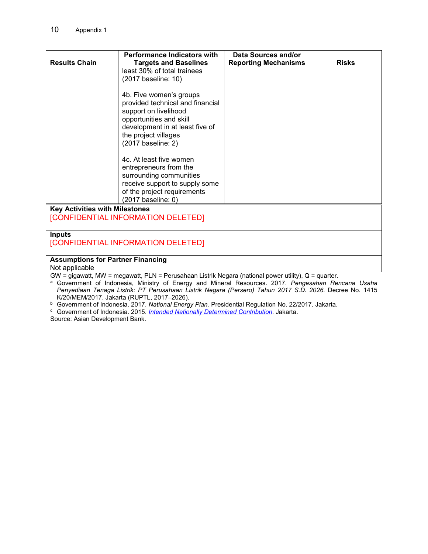|                                          | <b>Performance Indicators with</b> | Data Sources and/or         |              |  |
|------------------------------------------|------------------------------------|-----------------------------|--------------|--|
| <b>Results Chain</b>                     | <b>Targets and Baselines</b>       | <b>Reporting Mechanisms</b> | <b>Risks</b> |  |
|                                          | least 30% of total trainees        |                             |              |  |
|                                          | (2017 baseline: 10)                |                             |              |  |
|                                          |                                    |                             |              |  |
|                                          | 4b. Five women's groups            |                             |              |  |
|                                          | provided technical and financial   |                             |              |  |
|                                          | support on livelihood              |                             |              |  |
|                                          | opportunities and skill            |                             |              |  |
|                                          | development in at least five of    |                             |              |  |
|                                          | the project villages               |                             |              |  |
|                                          | (2017 baseline: 2)                 |                             |              |  |
|                                          |                                    |                             |              |  |
|                                          | 4c. At least five women            |                             |              |  |
|                                          | entrepreneurs from the             |                             |              |  |
|                                          | surrounding communities            |                             |              |  |
|                                          | receive support to supply some     |                             |              |  |
|                                          | of the project requirements        |                             |              |  |
|                                          | (2017 baseline: 0)                 |                             |              |  |
| <b>Key Activities with Milestones</b>    |                                    |                             |              |  |
| [CONFIDENTIAL INFORMATION DELETED]       |                                    |                             |              |  |
|                                          |                                    |                             |              |  |
| <b>Inputs</b>                            |                                    |                             |              |  |
| [CONFIDENTIAL INFORMATION DELETED]       |                                    |                             |              |  |
|                                          |                                    |                             |              |  |
| <b>Assumptions for Partner Financing</b> |                                    |                             |              |  |
| Not applicable                           |                                    |                             |              |  |

GW = gigawatt, MW = megawatt, PLN = Perusahaan Listrik Negara (national power utility), Q = quarter.

a Government of Indonesia, Ministry of Energy and Mineral Resources. 2017. *Pengesahan Rencana Usaha Penyediaan Tenaga Listrik: PT Perusahaan Listrik Negara (Persero) Tahun 2017 S.D. 2026.* Decree No. 1415 K/20/MEM/2017. Jakarta (RUPTL, 2017–2026).

<sup>b</sup> Government of Indonesia. 2017. *National Energy Plan.* Presidential Regulation No. 22/2017. Jakarta.<br><sup>c</sup> Government of Indonesia. 2015. <u>Intended Nationally Determined Contribution</u>. Jakarta.

Source: Asian Development Bank.